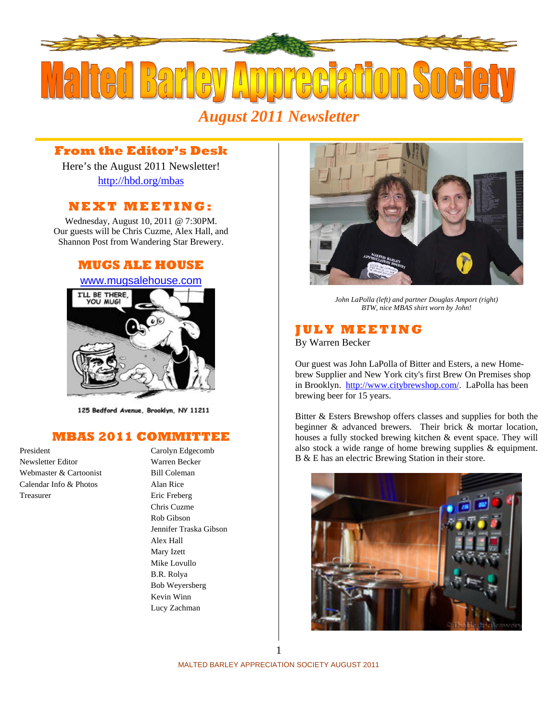

# *August 2011 Newsletter*

# **From the Editor's Desk**

Here's the August 2011 Newsletter! http://hbd.org/mbas

# **NEXT MEETING:**

Wednesday, August 10, 2011 @ 7:30PM. Our guests will be Chris Cuzme, Alex Hall, and Shannon Post from Wandering Star Brewery.

### **MUGS ALE HOUSE**

### www.mugsalehouse.com



125 Bedford Avenue, Brooklyn, NY 11211

# **MBAS 2011 COMMITTEE**

Newsletter Editor Warren Becker Webmaster & Cartoonist Bill Coleman Calendar Info & Photos Alan Rice Treasurer Eric Freberg

President Carolyn Edgecomb Chris Cuzme Rob Gibson Jennifer Traska Gibson Alex Hall Mary Izett Mike Lovullo B.R. Rolya Bob Weyersberg Kevin Winn Lucy Zachman



*John LaPolla (left) and partner Douglas Amport (right) BTW, nice MBAS shirt worn by John!* 

### **JULY MEETING**

By Warren Becker

Our guest was John LaPolla of Bitter and Esters, a new Homebrew Supplier and New York city's first Brew On Premises shop in Brooklyn. http://www.citybrewshop.com/. LaPolla has been brewing beer for 15 years.

Bitter & Esters Brewshop offers classes and supplies for both the beginner & advanced brewers. Their brick & mortar location, houses a fully stocked brewing kitchen & event space. They will also stock a wide range of home brewing supplies & equipment. B & E has an electric Brewing Station in their store.



MALTED BARLEY APPRECIATION SOCIETY AUGUST 2011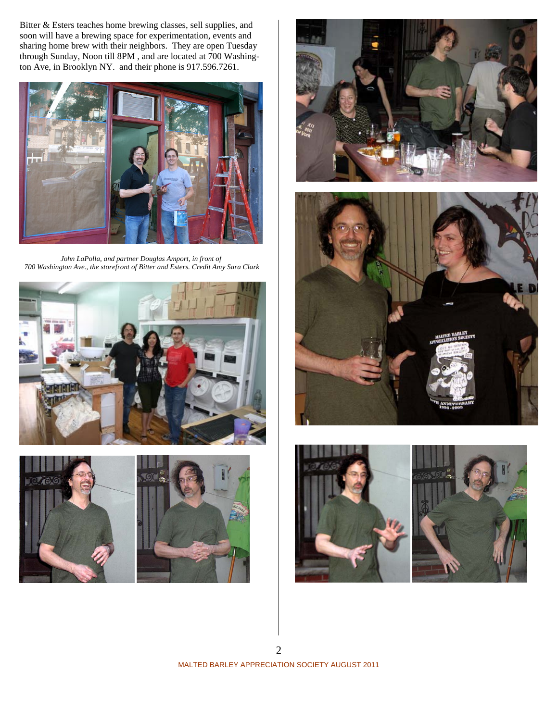Bitter & Esters teaches home brewing classes, sell supplies, and soon will have a brewing space for experimentation, events and sharing home brew with their neighbors. They are open Tuesday through Sunday, Noon till 8PM , and are located at 700 Washington Ave, in Brooklyn NY. and their phone is 917.596.7261.



*John LaPolla, and partner Douglas Amport, in front of 700 Washington Ave., the storefront of Bitter and Esters. Credit Amy Sara Clark*